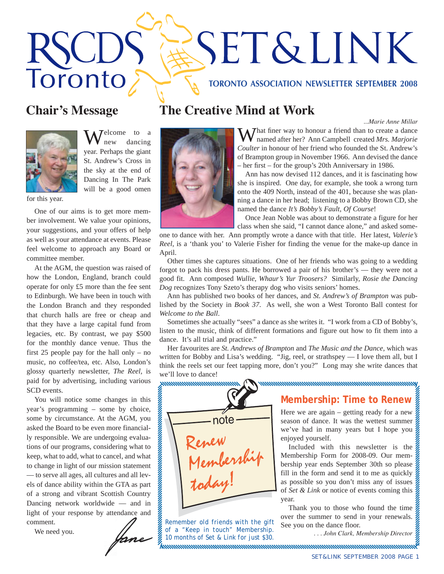# **SET&LINK** Toronto **TORONTO ASSOCIATION NEWSLETTER SEPTEMBER 2008**

*...Marie Anne Millar*



 $\int_{\text{new}}^{\text{elcome}}$  to a dancing year. Perhaps the giant St. Andrew's Cross in the sky at the end of Dancing In The Park will be a good omen

for this year.

One of our aims is to get more member involvement. We value your opinions, your suggestions, and your offers of help as well as your attendance at events. Please feel welcome to approach any Board or committee member.

At the AGM, the question was raised of how the London, England, branch could operate for only £5 more than the fee sent to Edinburgh. We have been in touch with the London Branch and they responded that church halls are free or cheap and that they have a large capital fund from legacies, etc. By contrast, we pay \$500 for the monthly dance venue. Thus the first 25 people pay for the hall only – no music, no coffee/tea, etc. Also, London's glossy quarterly newsletter, *The Reel,* is paid for by advertising, including various SCD events.

You will notice some changes in this year's programming – some by choice, some by circumstance. At the AGM, you asked the Board to be even more financially responsible. We are undergoing evaluations of our programs, considering what to keep, what to add, what to cancel, and what to change in light of our mission statement — to serve all ages, all cultures and all levels of dance ability within the GTA as part of a strong and vibrant Scottish Country Dancing network worldwide — and in light of your response by attendance and comment.

We need you.

# **Chair's Message The Creative Mind at Work**



 $\sum$  hat finer way to honour a friend than to create a dance named after her? Ann Campbell created *Mrs. Marjorie Coulter* in honour of her friend who founded the St. Andrew's of Brampton group in November 1966. Ann devised the dance – her first – for the group's 20th Anniversary in 1986.

Ann has now devised 112 dances, and it is fascinating how she is inspired. One day, for example, she took a wrong turn onto the 409 North, instead of the 401, because she was planning a dance in her head; listening to a Bobby Brown CD, she named the dance *It's Bobby's Fault, Of Course*!

Once Jean Noble was about to demonstrate a figure for her class when she said, "I cannot dance alone," and asked some-

one to dance with her. Ann promptly wrote a dance with that title. Her latest, *Valerie's Reel*, is a 'thank you' to Valerie Fisher for finding the venue for the make-up dance in April.

Other times she captures situations. One of her friends who was going to a wedding forgot to pack his dress pants. He borrowed a pair of his brother's — they were not a good fit. Ann composed *Wullie, Whaur's Yur Troosers?* Similarly, *Rosie the Dancing Dog* recognizes Tony Szeto's therapy dog who visits seniors' homes.

Ann has published two books of her dances, and *St. Andrew's of Brampton* was published by the Society in *Book 37*. As well, she won a West Toronto Ball contest for *Welcome to the Ball*.

Sometimes she actually "sees" a dance as she writes it. "I work from a CD of Bobby's, listen to the music, think of different formations and figure out how to fit them into a dance. It's all trial and practice."

Her favourites are *St. Andrews of Brampton* and *The Music and the Dance,* which was written for Bobby and Lisa's wedding. "Jig, reel, or strathspey — I love them all, but I think the reels set our feet tapping more, don't you?" Long may she write dances that we'll love to dance!

#### ,,,,,,,,,,,,,,,,,,,,,,,,,,,,,, <u> umummummummummummummummummum</u>



*Remember old friends with the gift of a "Keep in touch" Membership. 10 months of Set & Link for just \$30.*

## **Membership: Time to Renew**

Here we are again – getting ready for a new season of dance. It was the wettest summer we've had in many years but I hope you enjoyed yourself.

Included with this newsletter is the Membership Form for 2008-09. Our membership year ends September 30th so please fill in the form and send it to me as quickly  $\frac{1}{2}$ as possible so you don't miss any of issues of *Set & Link* or notice of events coming this  $\mathcal{Z}$ year.

Thank you to those who found the time over the summer to send in your renewals. See you on the dance floor.

*. . . John Clark, Membership Director*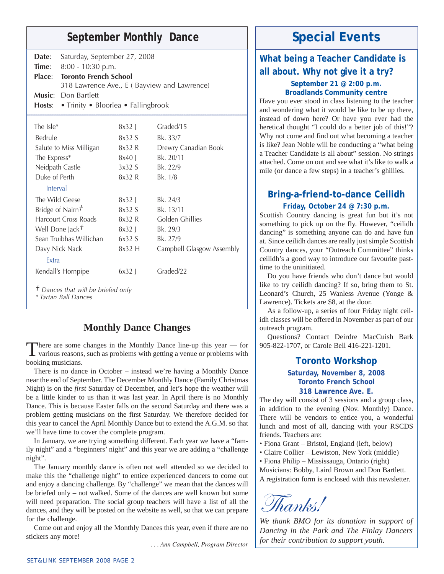# September Monthly Dance **Special Events**

| Date:                                                                 | Saturday, September 27, 2008        |          |                                              |  |
|-----------------------------------------------------------------------|-------------------------------------|----------|----------------------------------------------|--|
| Time:                                                                 | 8:00 - 10:30 p.m.                   |          |                                              |  |
| Place:                                                                | <b>Toronto French School</b>        |          |                                              |  |
|                                                                       |                                     |          | 318 Lawrence Ave., E ( Bayview and Lawrence) |  |
| Music:                                                                | Don Bartlett                        |          |                                              |  |
| Hosts:                                                                | • Trinity • Bloorlea • Fallingbrook |          |                                              |  |
| The $Isle*$                                                           |                                     |          | Graded/15                                    |  |
|                                                                       |                                     | $8x32$ J |                                              |  |
| Bedrule                                                               |                                     | 8x32 S   | Bk. 33/7                                     |  |
| Salute to Miss Milligan                                               |                                     | 8x32 R   | Drewry Canadian Book                         |  |
| The Express*                                                          |                                     | 8x40 J   | Bk. 20/11                                    |  |
| Neidpath Castle                                                       |                                     | 3x32S    | Bk. 22/9                                     |  |
| Duke of Perth                                                         |                                     | 8x32 R   | Bk. 1/8                                      |  |
| Interval                                                              |                                     |          |                                              |  |
| The Wild Geese                                                        |                                     | $8x32$ J | Bk. 24/3                                     |  |
| Bridge of Nairn $t$                                                   |                                     | 8x32S    | Bk. 13/11                                    |  |
| Harcourt Cross Roads                                                  |                                     | 8x32 R   | Golden Ghillies                              |  |
| Well Done Jack <sup>+</sup>                                           |                                     | $8x32$   | Bk. 29/3                                     |  |
| Sean Truibhas Willichan                                               |                                     | 6x32S    | Bk. 27/9                                     |  |
| Davy Nick Nack                                                        |                                     | $8x32$ H | Campbell Glasgow Assembly                    |  |
| Extra                                                                 |                                     |          |                                              |  |
| Kendall's Hornpipe                                                    |                                     | $6x32$   | Graded/22                                    |  |
| <sup>†</sup> Dances that will be briefed only<br>* Tartan Ball Dances |                                     |          |                                              |  |

#### **Monthly Dance Changes**

There are some changes in the Monthly Dance line-up this year — for various reasons, such as problems with getting a venue or problems with booking musicians.

There is no dance in October – instead we're having a Monthly Dance near the end of September. The December Monthly Dance (Family Christmas Night) is on the *first* Saturday of December, and let's hope the weather will be a little kinder to us than it was last year. In April there is no Monthly Dance. This is because Easter falls on the second Saturday and there was a problem getting musicians on the first Saturday. We therefore decided for this year to cancel the April Monthly Dance but to extend the A.G.M. so that we'll have time to cover the complete program.

In January, we are trying something different. Each year we have a "family night" and a "beginners' night" and this year we are adding a "challenge night".

The January monthly dance is often not well attended so we decided to make this the "challenge night" to entice experienced dancers to come out and enjoy a dancing challenge. By "challenge" we mean that the dances will be briefed only – not walked. Some of the dances are well known but some will need preparation. The social group teachers will have a list of all the dances, and they will be posted on the website as well, so that we can prepare for the challenge.

Come out and enjoy all the Monthly Dances this year, even if there are no stickers any more!

*. . . Ann Campbell, Program Director*

# **What being a Teacher Candidate is all about. Why not give it a try?**

#### **September 21 @ 2:00 p.m. Broadlands Community centre**

Have you ever stood in class listening to the teacher and wondering what it would be like to be up there, instead of down here? Or have you ever had the heretical thought "I could do a better job of this!"? Why not come and find out what becoming a teacher is like? Jean Noble will be conducting a "what being a Teacher Candidate is all about" session. No strings attached. Come on out and see what it's like to walk a mile (or dance a few steps) in a teacher's ghillies.

### **Bring-a-friend-to-dance Ceilidh**

#### **Friday, October 24 @ 7:30 p.m.**

Scottish Country dancing is great fun but it's not something to pick up on the fly. However, "ceilidh dancing" is something anyone can do and have fun at. Since ceilidh dances are really just simple Scottish Country dances, your "Outreach Committee" thinks ceilidh's a good way to introduce our favourite pasttime to the uninitiated.

Do you have friends who don't dance but would like to try ceilidh dancing? If so, bring them to St. Leonard's Church, 25 Wanless Avenue (Yonge & Lawrence). Tickets are \$8, at the door.

As a follow-up, a series of four Friday night ceilidh classes will be offered in November as part of our outreach program.

Questions? Contact Deirdre MacCuish Bark 905-822-1707, or Carole Bell 416-221-1201.

#### **Toronto Workshop**

#### **Saturday, November 8, 2008 Toronto French School 318 Lawrence Ave. E.**

The day will consist of 3 sessions and a group class, in addition to the evening (Nov. Monthly) Dance. There will be vendors to entice you, a wonderful lunch and most of all, dancing with your RSCDS friends. Teachers are:

• Fiona Grant – Bristol, England (left, below)

- Claire Collier Lewiston, New York (middle)
- Fiona Philip Mississauga, Ontario (right)

Musicians: Bobby, Laird Brown and Don Bartlett. A registration form is enclosed with this newsletter.

Thanks!

*We thank BMO for its donation in support of Dancing in the Park and The Finlay Dancers for their contribution to support youth.*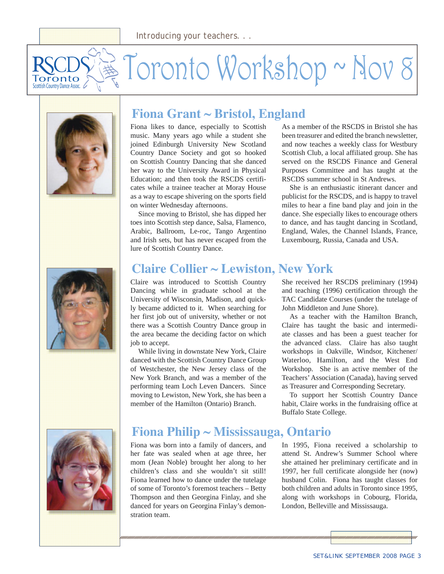# Toronto Workshop ~ Nov 8 Toronto Scottish Country Dance Assoc.





# **Fiona Grant ~ Bristol, England**

Fiona likes to dance, especially to Scottish music. Many years ago while a student she joined Edinburgh University New Scotland Country Dance Society and got so hooked on Scottish Country Dancing that she danced her way to the University Award in Physical Education; and then took the RSCDS certificates while a trainee teacher at Moray House as a way to escape shivering on the sports field on winter Wednesday afternoons.

Since moving to Bristol, she has dipped her toes into Scottish step dance, Salsa, Flamenco, Arabic, Ballroom, Le-roc, Tango Argentino and Irish sets, but has never escaped from the lure of Scottish Country Dance.

As a member of the RSCDS in Bristol she has been treasurer and edited the branch newsletter, and now teaches a weekly class for Westbury Scottish Club, a local affiliated group. She has served on the RSCDS Finance and General Purposes Committee and has taught at the RSCDS summer school in St Andrews.

She is an enthusiastic itinerant dancer and publicist for the RSCDS, and is happy to travel miles to hear a fine band play and join in the dance. She especially likes to encourage others to dance, and has taught dancing in Scotland, England, Wales, the Channel Islands, France, Luxembourg, Russia, Canada and USA.

# **Claire Collier ~ Lewiston, New York**

Claire was introduced to Scottish Country Dancing while in graduate school at the University of Wisconsin, Madison, and quickly became addicted to it. When searching for her first job out of university, whether or not there was a Scottish Country Dance group in the area became the deciding factor on which job to accept.

While living in downstate New York, Claire danced with the Scottish Country Dance Group of Westchester, the New Jersey class of the New York Branch, and was a member of the performing team Loch Leven Dancers. Since moving to Lewiston, New York, she has been a member of the Hamilton (Ontario) Branch.

She received her RSCDS preliminary (1994) and teaching (1996) certification through the TAC Candidate Courses (under the tutelage of John Middleton and June Shore).

As a teacher with the Hamilton Branch, Claire has taught the basic and intermediate classes and has been a guest teacher for the advanced class. Claire has also taught workshops in Oakville, Windsor, Kitchener/ Waterloo, Hamilton, and the West End Workshop. She is an active member of the Teachers' Association (Canada), having served as Treasurer and Corresponding Secretary.

To support her Scottish Country Dance habit, Claire works in the fundraising office at Buffalo State College.



# **Fiona Philip ~ Mississauga, Ontario**

Fiona was born into a family of dancers, and her fate was sealed when at age three, her mom (Jean Noble) brought her along to her children's class and she wouldn't sit still! Fiona learned how to dance under the tutelage of some of Toronto's foremost teachers – Betty Thompson and then Georgina Finlay, and she danced for years on Georgina Finlay's demonstration team.

In 1995, Fiona received a scholarship to attend St. Andrew's Summer School where she attained her preliminary certificate and in 1997, her full certificate alongside her (now) husband Colin. Fiona has taught classes for both children and adults in Toronto since 1995, along with workshops in Cobourg, Florida, London, Belleville and Mississauga.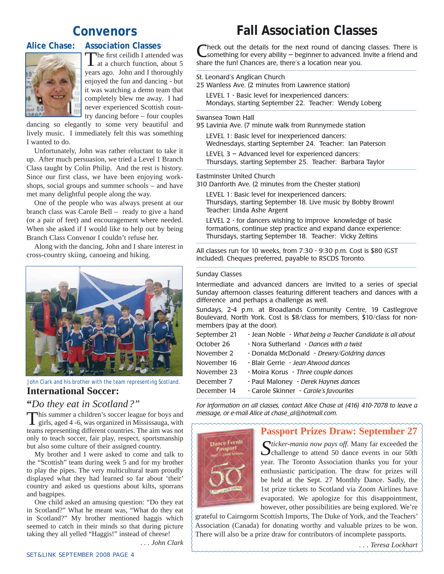# **Convenors**

#### **Alice Chase: Association Classes**



The first ceilidh I attended was<br>
at a church function, about 5 years ago. John and I thoroughly enjoyed the fun and dancing - but it was watching a demo team that completely blew me away. I had never experienced Scottish country dancing before – four couples

dancing so elegantly to some very beautiful and lively music. I immediately felt this was something I wanted to do.

Unfortunately, John was rather reluctant to take it up. After much persuasion, we tried a Level 1 Branch Class taught by Colin Philip. And the rest is history. Since our first class, we have been enjoying workshops, social groups and summer schools – and have met many delightful people along the way.

One of the people who was always present at our branch class was Carole Bell – ready to give a hand (or a pair of feet) and encouragement where needed. When she asked if I would like to help out by being Branch Class Convenor I couldn't refuse her.

Along with the dancing, John and I share interest in cross-country skiing, canoeing and hiking.



*John Clark and his brother with the team representing Scotland.*

### **International Soccer:**

#### **"***Do they eat in Scotland?"*

This summer a children's soccer league for boys and girls, aged 4 -6, was organized in Mississauga, with teams representing different countries. The aim was not only to teach soccer, fair play, respect, sportsmanship but also some culture of their assigned country.

My brother and I were asked to come and talk to the "Scottish" team during week 5 and for my brother to play the pipes. The very multicultural team proudly displayed what they had learned so far about 'their' country and asked us questions about kilts, sporrans and bagpipes.

One child asked an amusing question: "Do they eat in Scotland?" What he meant was, "What do they eat in Scotland?" My brother mentioned haggis which seemed to catch in their minds so that during picture taking they all yelled "Haggis!" instead of cheese!

. *. . John Clark*

# **Fall Association Classes**

Check out the details for the next round of dancing classes. There is<br>
Something for every ability – beginner to advanced. Invite a friend and share the fun! Chances are, there's a location near you.

St. Leonard's Anglican Church

25 Wanless Ave. (2 minutes from Lawrence station)

LEVEL 1 - Basic level for inexperienced dancers: Mondays, starting September 22. Teacher: Wendy Loberg

Swansea Town Hall

95 Lavinia Ave. (7 minute walk from Runnymede station

LEVEL 1: Basic level for inexperienced dancers: Wednesdays, starting September 24. Teacher: Ian Paterson

LEVEL 3 – Advanced level for experienced dancers: Thursdays, starting September 25. Teacher: Barbara Taylor

Eastminster United Church

310 Danforth Ave. (2 minutes from the Chester station)

LEVEL 1: Basic level for inexperienced dancers: Thursdays, starting September 18. Live music by Bobby Brown! Teacher: Linda Ashe Argent

LEVEL 2 - for dancers wishing to improve knowledge of basic formations, continue step practice and expand dance experience: Thursdays, starting September 18. Teacher: Vicky Zeltins

All classes run for 10 weeks, from 7:30 - 9:30 p.m. Cost is \$80 (GST included). Cheques preferred, payable to RSCDS Toronto.

#### Sunday Classes

Intermediate and advanced dancers are invited to a series of special Sunday afternoon classes featuring different teachers and dances with a difference and perhaps a challenge as well.

Sundays, 2-4 p.m. at Broadlands Community Centre, 19 Castlegrove Boulevard, North York. Cost is \$8/class for members, \$10/class for nonmembers (pay at the door).

| September 21 | - Jean Noble - What being a Teacher Candidate is all about |
|--------------|------------------------------------------------------------|
| October 26   | - Nora Sutherland - Dances with a twist                    |
| November 2   | - Donalda McDonald - Drewry/Goldring dances                |
| November 16  | - Blair Gerrie - Jean Atwood dances                        |
| November 23  | - Moira Korus - Three couple dances                        |
| December 7   | - Paul Maloney - Derek Haynes dances                       |
| December 14  | - Carole Skinner - Carole's favourites                     |

*For information on all classes, contact Alice Chase at (416) 410-7078 to leave a message, or e-mail Alice at chase\_al@hotmail.com.*

### **Passport Prizes Draw: September 27**



*Sticker-mania now pays off.* Many far exceeded the  $\bigcup$  challenge to attend 50 dance events in our 50th year. The Toronto Association thanks you for your enthusiastic participation. The draw for prizes will be held at the Sept. 27 Monthly Dance. Sadly, the 1st prize tickets to Scotland via Zoom Airlines have evaporated. We apologize for this disappointment, however, other possibilities are being explored. We're

grateful to Cairngorm Scottish Imports, The Duke of York, and the Teachers' Association (Canada) for donating worthy and valuable prizes to be won. There will also be a prize draw for contributors of incomplete passports.

*. . . Teresa Lockhart*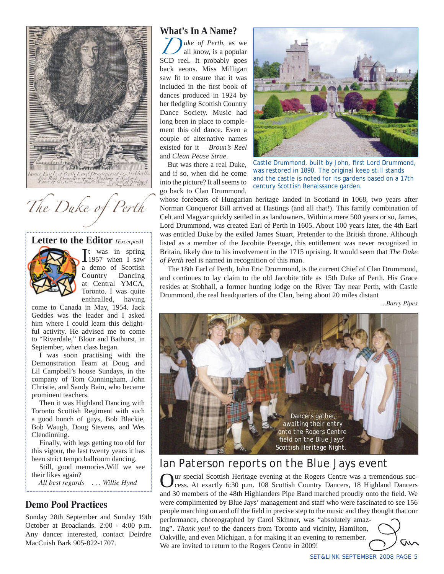

*The Duke of Perth*

#### **Letter to the Editor** *[Excerpted]*



 $\prod_{1957}$  when I saw 1957 when I saw a demo of Scottish<br>Country Dancing Dancing at Central YMCA, Toronto. I was quite enthralled, having

come to Canada in May, 1954. Jack Geddes was the leader and I asked him where I could learn this delightful activity. He advised me to come to "Riverdale," Bloor and Bathurst, in September, when class began.

I was soon practising with the Demonstration Team at Doug and Lil Campbell's house Sundays, in the company of Tom Cunningham, John Christie, and Sandy Bain, who became prominent teachers.

Then it was Highland Dancing with Toronto Scottish Regiment with such a good bunch of guys, Bob Blackie, Bob Waugh, Doug Stevens, and Wes Clendinning.

Finally, with legs getting too old for this vigour, the last twenty years it has been strict tempo ballroom dancing.

Still, good memories.Will we see their likes again?

 *All best regards . . . Willie Hynd*

#### **Demo Pool Practices**

Sunday 28th September and Sunday 19th October at Broadlands. 2:00 - 4:00 p.m. Any dancer interested, contact Deirdre MacCuish Bark 905-822-1707.

#### **What's In A Name?**

*D* uke of Perth, as we all know, is a popular SCD reel. It probably goes back aeons. Miss Milligan saw fit to ensure that it was included in the first book of dances produced in 1924 by her fledgling Scottish Country Dance Society. Music had long been in place to complement this old dance. Even a couple of alternative names existed for it – *Broun's Reel* and *Clean Pease Strae*.

But was there a real Duke, and if so, when did he come into the picture? It all seems to go back to Clan Drummond,



*Castle Drummond, built by John, first Lord Drummond, was restored in 1890. The original keep still stands and the castle is noted for its gardens based on a 17th century Scottish Renaissance garden.*

whose forebears of Hungarian heritage landed in Scotland in 1068, two years after Norman Conqueror Bill arrived at Hastings (and all that!). This family combination of Celt and Magyar quickly settled in as landowners. Within a mere 500 years or so, James, Lord Drummond, was created Earl of Perth in 1605. About 100 years later, the 4th Earl was entitled Duke by the exiled James Stuart, Pretender to the British throne. Although listed as a member of the Jacobite Peerage, this entitlement was never recognized in Britain, likely due to his involvement in the 1715 uprising. It would seem that *The Duke of Perth* reel is named in recognition of this man.

The 18th Earl of Perth, John Eric Drummond, is the current Chief of Clan Drummond, and continues to lay claim to the old Jacobite title as 15th Duke of Perth. His Grace resides at Stobhall, a former hunting lodge on the River Tay near Perth, with Castle Drummond, the real headquarters of the Clan, being about 20 miles distant

 *...Barry Pipes*



# *Ian Paterson reports on the Blue Jays event*

We are invited to return to the Rogers Centre in 2009!

Our special Scottish Heritage evening at the Rogers Centre was a tremendous suc-cess. At exactly 6:30 p.m. 108 Scottish Country Dancers, 18 Highland Dancers and 30 members of the 48th Highlanders Pipe Band marched proudly onto the field. We were complimented by Blue Jays' management and staff who were fascinated to see 156 people marching on and off the field in precise step to the music and they thought that our performance, choreographed by Carol Skinner, was "absolutely amazing". *Thank you!* to the dancers from Toronto and vicinity, Hamilton, Oakville, and even Michigan, a for making it an evening to remember.

M